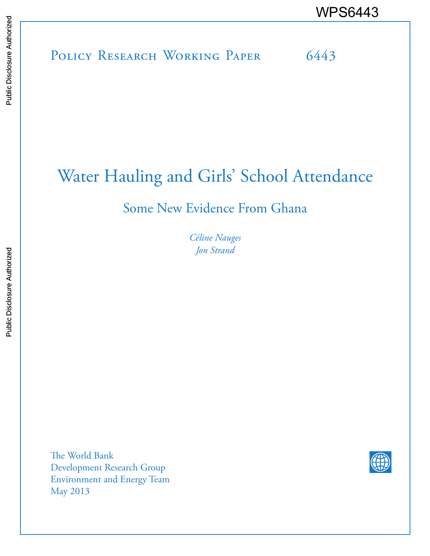# POLICY RESEARCH WORKING PAPER 6443 WPS6443

# Water Hauling and Girls' School Attendance

# Some New Evidence From Ghana

*Céline Nauges Jon Strand*

The World Bank Development Research Group Environment and Energy Team May 2013

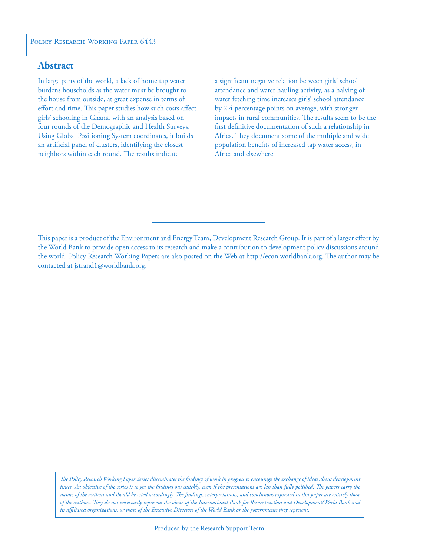#### POLICY RESEARCH WORKING PAPER 6443

#### **Abstract**

In large parts of the world, a lack of home tap water burdens households as the water must be brought to the house from outside, at great expense in terms of effort and time. This paper studies how such costs affect girls' schooling in Ghana, with an analysis based on four rounds of the Demographic and Health Surveys. Using Global Positioning System coordinates, it builds an artificial panel of clusters, identifying the closest neighbors within each round. The results indicate

a significant negative relation between girls' school attendance and water hauling activity, as a halving of water fetching time increases girls' school attendance by 2.4 percentage points on average, with stronger impacts in rural communities. The results seem to be the first definitive documentation of such a relationship in Africa. They document some of the multiple and wide population benefits of increased tap water access, in Africa and elsewhere.

This paper is a product of the Environment and Energy Team, Development Research Group. It is part of a larger effort by the World Bank to provide open access to its research and make a contribution to development policy discussions around the world. Policy Research Working Papers are also posted on the Web at http://econ.worldbank.org. The author may be contacted at jstrand1@worldbank.org.

*The Policy Research Working Paper Series disseminates the findings of work in progress to encourage the exchange of ideas about development*  issues. An objective of the series is to get the findings out quickly, even if the presentations are less than fully polished. The papers carry the *names of the authors and should be cited accordingly. The findings, interpretations, and conclusions expressed in this paper are entirely those of the authors. They do not necessarily represent the views of the International Bank for Reconstruction and Development/World Bank and its affiliated organizations, or those of the Executive Directors of the World Bank or the governments they represent.*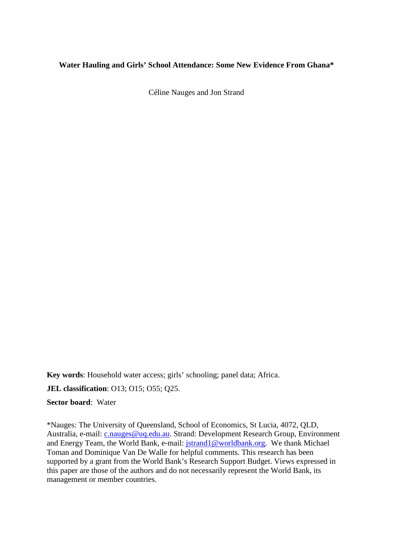#### **Water Hauling and Girls' School Attendance: Some New Evidence From Ghana\***

Céline Nauges and Jon Strand

**Key words**: Household water access; girls' schooling; panel data; Africa.

**JEL classification**: O13; O15; O55; Q25.

**Sector board**: Water

\*Nauges: The University of Queensland, School of Economics, St Lucia, 4072, QLD, Australia, e-mail: *c.nauges@uq.edu.au.* Strand: Development Research Group, Environment and Energy Team, the World Bank, e-mail: [jstrand1@worldbank.org.](mailto:jstrand1@worldbank.org) We thank Michael Toman and Dominique Van De Walle for helpful comments. This research has been supported by a grant from the World Bank's Research Support Budget. Views expressed in this paper are those of the authors and do not necessarily represent the World Bank, its management or member countries.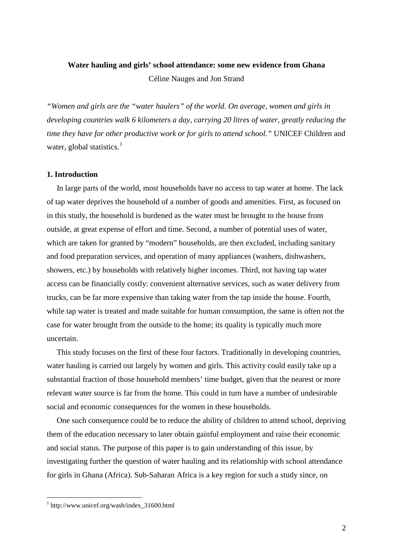# **Water hauling and girls' school attendance: some new evidence from Ghana** Céline Nauges and Jon Strand

*"Women and girls are the "water haulers" of the world. On average, women and girls in developing countries walk 6 kilometers a day, carrying 20 litres of water, greatly reducing the time they have for other productive work or for girls to attend school."* UNICEF Children and water, global statistics.<sup>[1](#page-3-0)</sup>

#### **1. Introduction**

 In large parts of the world, most households have no access to tap water at home. The lack of tap water deprives the household of a number of goods and amenities. First, as focused on in this study, the household is burdened as the water must be brought to the house from outside, at great expense of effort and time. Second, a number of potential uses of water, which are taken for granted by "modern" households, are then excluded, including sanitary and food preparation services, and operation of many appliances (washers, dishwashers, showers, etc.) by households with relatively higher incomes. Third, not having tap water access can be financially costly: convenient alternative services, such as water delivery from trucks, can be far more expensive than taking water from the tap inside the house. Fourth, while tap water is treated and made suitable for human consumption, the same is often not the case for water brought from the outside to the home; its quality is typically much more uncertain.

 This study focuses on the first of these four factors. Traditionally in developing countries, water hauling is carried out largely by women and girls. This activity could easily take up a substantial fraction of those household members' time budget, given that the nearest or more relevant water source is far from the home. This could in turn have a number of undesirable social and economic consequences for the women in these households.

 One such consequence could be to reduce the ability of children to attend school, depriving them of the education necessary to later obtain gainful employment and raise their economic and social status. The purpose of this paper is to gain understanding of this issue, by investigating further the question of water hauling and its relationship with school attendance for girls in Ghana (Africa). Sub-Saharan Africa is a key region for such a study since, on

<u>.</u>

<span id="page-3-0"></span><sup>1</sup> http://www.unicef.org/wash/index\_31600.html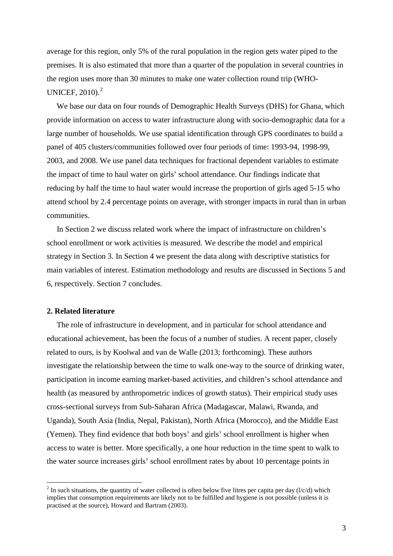average for this region, only 5% of the rural population in the region gets water piped to the premises. It is also estimated that more than a quarter of the population in several countries in the region uses more than 30 minutes to make one water collection round trip (WHO-UNICEF,  $2010$  $2010$ .<sup>2</sup>

 We base our data on four rounds of Demographic Health Surveys (DHS) for Ghana, which provide information on access to water infrastructure along with socio-demographic data for a large number of households. We use spatial identification through GPS coordinates to build a panel of 405 clusters/communities followed over four periods of time: 1993-94, 1998-99, 2003, and 2008. We use panel data techniques for fractional dependent variables to estimate the impact of time to haul water on girls' school attendance. Our findings indicate that reducing by half the time to haul water would increase the proportion of girls aged 5-15 who attend school by 2.4 percentage points on average, with stronger impacts in rural than in urban communities.

 In Section 2 we discuss related work where the impact of infrastructure on children's school enrollment or work activities is measured. We describe the model and empirical strategy in Section 3. In Section 4 we present the data along with descriptive statistics for main variables of interest. Estimation methodology and results are discussed in Sections 5 and 6, respectively. Section 7 concludes.

#### **2. Related literature**

-

 The role of infrastructure in development, and in particular for school attendance and educational achievement, has been the focus of a number of studies. A recent paper, closely related to ours, is by Koolwal and van de Walle (2013; forthcoming). These authors investigate the relationship between the time to walk one-way to the source of drinking water, participation in income earning market-based activities, and children's school attendance and health (as measured by anthropometric indices of growth status). Their empirical study uses cross-sectional surveys from Sub-Saharan Africa (Madagascar, Malawi, Rwanda, and Uganda), South Asia (India, Nepal, Pakistan), North Africa (Morocco), and the Middle East (Yemen). They find evidence that both boys' and girls' school enrollment is higher when access to water is better. More specifically, a one hour reduction in the time spent to walk to the water source increases girls' school enrollment rates by about 10 percentage points in

<span id="page-4-0"></span><sup>&</sup>lt;sup>2</sup> In such situations, the quantity of water collected is often below five litres per capita per day ( $l/c/d$ ) which implies that consumption requirements are likely not to be fulfilled and hygiene is not possible (unless it is practised at the source), Howard and Bartram (2003).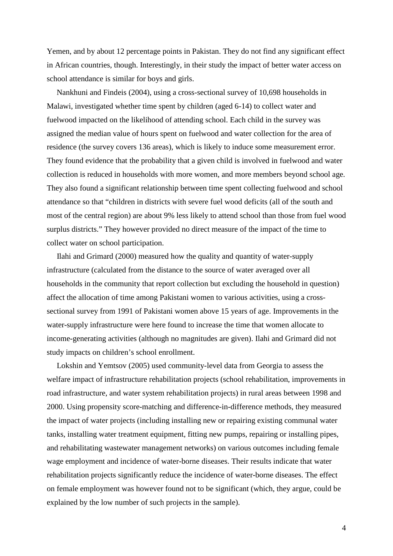Yemen, and by about 12 percentage points in Pakistan. They do not find any significant effect in African countries, though. Interestingly, in their study the impact of better water access on school attendance is similar for boys and girls.

 Nankhuni and Findeis (2004), using a cross-sectional survey of 10,698 households in Malawi, investigated whether time spent by children (aged 6-14) to collect water and fuelwood impacted on the likelihood of attending school. Each child in the survey was assigned the median value of hours spent on fuelwood and water collection for the area of residence (the survey covers 136 areas), which is likely to induce some measurement error. They found evidence that the probability that a given child is involved in fuelwood and water collection is reduced in households with more women, and more members beyond school age. They also found a significant relationship between time spent collecting fuelwood and school attendance so that "children in districts with severe fuel wood deficits (all of the south and most of the central region) are about 9% less likely to attend school than those from fuel wood surplus districts." They however provided no direct measure of the impact of the time to collect water on school participation.

 Ilahi and Grimard (2000) measured how the quality and quantity of water-supply infrastructure (calculated from the distance to the source of water averaged over all households in the community that report collection but excluding the household in question) affect the allocation of time among Pakistani women to various activities, using a crosssectional survey from 1991 of Pakistani women above 15 years of age. Improvements in the water-supply infrastructure were here found to increase the time that women allocate to income-generating activities (although no magnitudes are given). Ilahi and Grimard did not study impacts on children's school enrollment.

 Lokshin and Yemtsov (2005) used community-level data from Georgia to assess the welfare impact of infrastructure rehabilitation projects (school rehabilitation, improvements in road infrastructure, and water system rehabilitation projects) in rural areas between 1998 and 2000. Using propensity score-matching and difference-in-difference methods, they measured the impact of water projects (including installing new or repairing existing communal water tanks, installing water treatment equipment, fitting new pumps, repairing or installing pipes, and rehabilitating wastewater management networks) on various outcomes including female wage employment and incidence of water-borne diseases. Their results indicate that water rehabilitation projects significantly reduce the incidence of water-borne diseases. The effect on female employment was however found not to be significant (which, they argue, could be explained by the low number of such projects in the sample).

4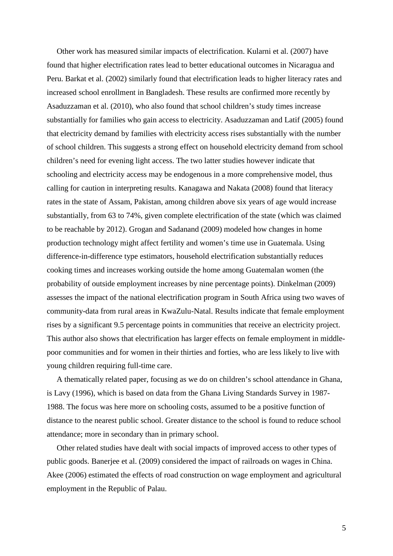Other work has measured similar impacts of electrification. Kularni et al. (2007) have found that higher electrification rates lead to better educational outcomes in Nicaragua and Peru. Barkat et al. (2002) similarly found that electrification leads to higher literacy rates and increased school enrollment in Bangladesh. These results are confirmed more recently by Asaduzzaman et al. (2010), who also found that school children's study times increase substantially for families who gain access to electricity. Asaduzzaman and Latif (2005) found that electricity demand by families with electricity access rises substantially with the number of school children. This suggests a strong effect on household electricity demand from school children's need for evening light access. The two latter studies however indicate that schooling and electricity access may be endogenous in a more comprehensive model, thus calling for caution in interpreting results. Kanagawa and Nakata (2008) found that literacy rates in the state of Assam, Pakistan, among children above six years of age would increase substantially, from 63 to 74%, given complete electrification of the state (which was claimed to be reachable by 2012). Grogan and Sadanand (2009) modeled how changes in home production technology might affect fertility and women's time use in Guatemala. Using difference-in-difference type estimators, household electrification substantially reduces cooking times and increases working outside the home among Guatemalan women (the probability of outside employment increases by nine percentage points). Dinkelman (2009) assesses the impact of the national electrification program in South Africa using two waves of community-data from rural areas in KwaZulu-Natal. Results indicate that female employment rises by a significant 9.5 percentage points in communities that receive an electricity project. This author also shows that electrification has larger effects on female employment in middlepoor communities and for women in their thirties and forties, who are less likely to live with young children requiring full-time care.

 A thematically related paper, focusing as we do on children's school attendance in Ghana, is Lavy (1996), which is based on data from the Ghana Living Standards Survey in 1987- 1988. The focus was here more on schooling costs, assumed to be a positive function of distance to the nearest public school. Greater distance to the school is found to reduce school attendance; more in secondary than in primary school.

 Other related studies have dealt with social impacts of improved access to other types of public goods. Banerjee et al. (2009) considered the impact of railroads on wages in China. Akee (2006) estimated the effects of road construction on wage employment and agricultural employment in the Republic of Palau.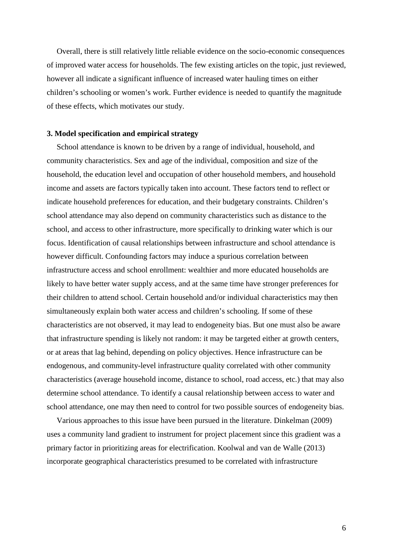Overall, there is still relatively little reliable evidence on the socio-economic consequences of improved water access for households. The few existing articles on the topic, just reviewed, however all indicate a significant influence of increased water hauling times on either children's schooling or women's work. Further evidence is needed to quantify the magnitude of these effects, which motivates our study.

#### **3. Model specification and empirical strategy**

 School attendance is known to be driven by a range of individual, household, and community characteristics. Sex and age of the individual, composition and size of the household, the education level and occupation of other household members, and household income and assets are factors typically taken into account. These factors tend to reflect or indicate household preferences for education, and their budgetary constraints. Children's school attendance may also depend on community characteristics such as distance to the school, and access to other infrastructure, more specifically to drinking water which is our focus. Identification of causal relationships between infrastructure and school attendance is however difficult. Confounding factors may induce a spurious correlation between infrastructure access and school enrollment: wealthier and more educated households are likely to have better water supply access, and at the same time have stronger preferences for their children to attend school. Certain household and/or individual characteristics may then simultaneously explain both water access and children's schooling. If some of these characteristics are not observed, it may lead to endogeneity bias. But one must also be aware that infrastructure spending is likely not random: it may be targeted either at growth centers, or at areas that lag behind, depending on policy objectives. Hence infrastructure can be endogenous, and community-level infrastructure quality correlated with other community characteristics (average household income, distance to school, road access, etc.) that may also determine school attendance. To identify a causal relationship between access to water and school attendance, one may then need to control for two possible sources of endogeneity bias.

 Various approaches to this issue have been pursued in the literature. Dinkelman (2009) uses a community land gradient to instrument for project placement since this gradient was a primary factor in prioritizing areas for electrification. Koolwal and van de Walle (2013) incorporate geographical characteristics presumed to be correlated with infrastructure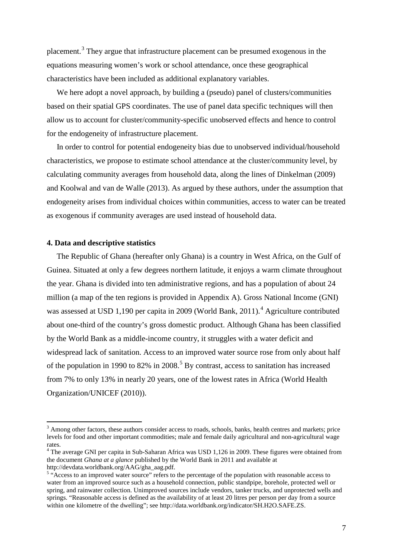placement.[3](#page-8-0) They argue that infrastructure placement can be presumed exogenous in the equations measuring women's work or school attendance, once these geographical characteristics have been included as additional explanatory variables.

We here adopt a novel approach, by building a (pseudo) panel of clusters/communities based on their spatial GPS coordinates. The use of panel data specific techniques will then allow us to account for cluster/community-specific unobserved effects and hence to control for the endogeneity of infrastructure placement.

 In order to control for potential endogeneity bias due to unobserved individual/household characteristics, we propose to estimate school attendance at the cluster/community level, by calculating community averages from household data, along the lines of Dinkelman (2009) and Koolwal and van de Walle (2013). As argued by these authors, under the assumption that endogeneity arises from individual choices within communities, access to water can be treated as exogenous if community averages are used instead of household data.

#### **4. Data and descriptive statistics**

-

 The Republic of Ghana (hereafter only Ghana) is a country in West Africa, on the Gulf of Guinea. Situated at only a few degrees northern latitude, it enjoys a warm climate throughout the year. Ghana is divided into ten administrative regions, and has a population of about 24 million (a map of the ten regions is provided in Appendix A). Gross National Income (GNI) was assessed at USD 1,190 per capita in 2009 (World Bank, 2011).<sup>[4](#page-8-1)</sup> Agriculture contributed about one-third of the country's gross domestic product. Although Ghana has been classified by the World Bank as a middle-income country, it struggles with a water deficit and widespread lack of sanitation. Access to an improved water source rose from only about half of the population in 1990 to 82% in 2008.<sup>[5](#page-8-2)</sup> By contrast, access to sanitation has increased from 7% to only 13% in nearly 20 years, one of the lowest rates in Africa (World Health Organization/UNICEF (2010)).

<span id="page-8-0"></span><sup>&</sup>lt;sup>3</sup> Among other factors, these authors consider access to roads, schools, banks, health centres and markets; price levels for food and other important commodities; male and female daily agricultural and non-agricultural wage rates.

<span id="page-8-1"></span><sup>&</sup>lt;sup>4</sup> The average GNI per capita in Sub-Saharan Africa was USD 1,126 in 2009. These figures were obtained from the document *Ghana at a glance* published by the World Bank in 2011 and available at http://devdata.worldbank.org/AAG/gha\_aag.pdf. 5

<span id="page-8-2"></span><sup>&</sup>lt;sup>5</sup> "Access to an improved water source" refers to the percentage of the population with reasonable access to water from an improved source such as a household connection, public standpipe, borehole, protected well or spring, and rainwater collection. Unimproved sources include vendors, tanker trucks, and unprotected wells and springs. "Reasonable access is defined as the availability of at least 20 litres per person per day from a source within one kilometre of the dwelling"; see http://data.worldbank.org/indicator/SH.H2O.SAFE.ZS.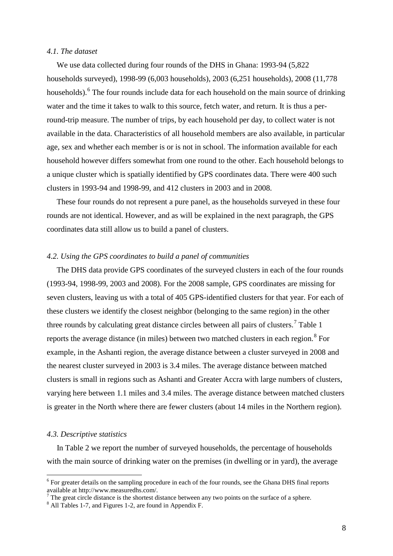#### *4.1. The dataset*

 We use data collected during four rounds of the DHS in Ghana: 1993-94 (5,822 households surveyed), 1998-99 (6,003 households), 2003 (6,251 households), 2008 (11,778 households).<sup>[6](#page-9-0)</sup> The four rounds include data for each household on the main source of drinking water and the time it takes to walk to this source, fetch water, and return. It is thus a perround-trip measure. The number of trips, by each household per day, to collect water is not available in the data. Characteristics of all household members are also available, in particular age, sex and whether each member is or is not in school. The information available for each household however differs somewhat from one round to the other. Each household belongs to a unique cluster which is spatially identified by GPS coordinates data. There were 400 such clusters in 1993-94 and 1998-99, and 412 clusters in 2003 and in 2008.

 These four rounds do not represent a pure panel, as the households surveyed in these four rounds are not identical. However, and as will be explained in the next paragraph, the GPS coordinates data still allow us to build a panel of clusters.

#### *4.2. Using the GPS coordinates to build a panel of communities*

 The DHS data provide GPS coordinates of the surveyed clusters in each of the four rounds (1993-94, 1998-99, 2003 and 2008). For the 2008 sample, GPS coordinates are missing for seven clusters, leaving us with a total of 405 GPS-identified clusters for that year. For each of these clusters we identify the closest neighbor (belonging to the same region) in the other three rounds by calculating great distance circles between all pairs of clusters.<sup>[7](#page-9-1)</sup> Table 1 reports the average distance (in miles) between two matched clusters in each region. $8$  For example, in the Ashanti region, the average distance between a cluster surveyed in 2008 and the nearest cluster surveyed in 2003 is 3.4 miles. The average distance between matched clusters is small in regions such as Ashanti and Greater Accra with large numbers of clusters, varying here between 1.1 miles and 3.4 miles. The average distance between matched clusters is greater in the North where there are fewer clusters (about 14 miles in the Northern region).

#### *4.3. Descriptive statistics*

-

 In Table 2 we report the number of surveyed households, the percentage of households with the main source of drinking water on the premises (in dwelling or in yard), the average

<span id="page-9-0"></span> $6$  For greater details on the sampling procedure in each of the four rounds, see the Ghana DHS final reports available at http://www.measuredhs.com/.

<span id="page-9-1"></span><sup>&</sup>lt;sup>7</sup> The great circle distance is the shortest distance between any two points on the surface of a sphere. <sup>8</sup> All Tables 1-7, and Figures 1-2, are found in Appendix F.

<span id="page-9-2"></span>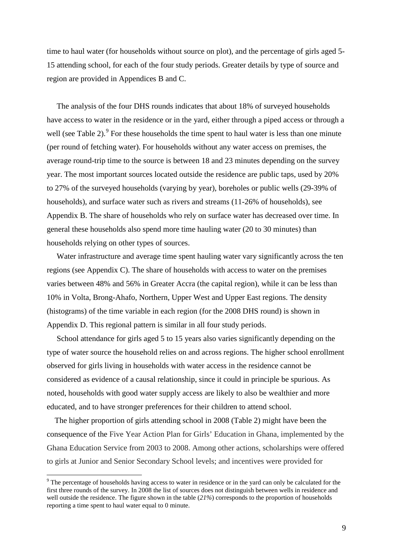time to haul water (for households without source on plot), and the percentage of girls aged 5- 15 attending school, for each of the four study periods. Greater details by type of source and region are provided in Appendices B and C.

 The analysis of the four DHS rounds indicates that about 18% of surveyed households have access to water in the residence or in the yard, either through a piped access or through a well (see Table 2). $\degree$  For these households the time spent to haul water is less than one minute (per round of fetching water). For households without any water access on premises, the average round-trip time to the source is between 18 and 23 minutes depending on the survey year. The most important sources located outside the residence are public taps, used by 20% to 27% of the surveyed households (varying by year), boreholes or public wells (29-39% of households), and surface water such as rivers and streams (11-26% of households), see Appendix B. The share of households who rely on surface water has decreased over time. In general these households also spend more time hauling water (20 to 30 minutes) than households relying on other types of sources.

 Water infrastructure and average time spent hauling water vary significantly across the ten regions (see Appendix C). The share of households with access to water on the premises varies between 48% and 56% in Greater Accra (the capital region), while it can be less than 10% in Volta, Brong-Ahafo, Northern, Upper West and Upper East regions. The density (histograms) of the time variable in each region (for the 2008 DHS round) is shown in Appendix D. This regional pattern is similar in all four study periods.

 School attendance for girls aged 5 to 15 years also varies significantly depending on the type of water source the household relies on and across regions. The higher school enrollment observed for girls living in households with water access in the residence cannot be considered as evidence of a causal relationship, since it could in principle be spurious. As noted, households with good water supply access are likely to also be wealthier and more educated, and to have stronger preferences for their children to attend school.

 The higher proportion of girls attending school in 2008 (Table 2) might have been the consequence of the Five Year Action Plan for Girls' Education in Ghana, implemented by the Ghana Education Service from 2003 to 2008. Among other actions, scholarships were offered to girls at Junior and Senior Secondary School levels; and incentives were provided for

-

<span id="page-10-0"></span> $9$  The percentage of households having access to water in residence or in the yard can only be calculated for the first three rounds of the survey. In 2008 the list of sources does not distinguish between wells in residence and well outside the residence. The figure shown in the table (*21%*) corresponds to the proportion of households reporting a time spent to haul water equal to 0 minute.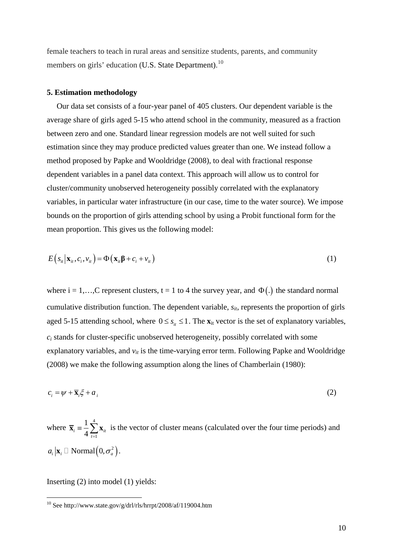female teachers to teach in rural areas and sensitize students, parents, and community members on girls' education (U.S. State Department).<sup>10</sup>

#### **5. Estimation methodology**

 Our data set consists of a four-year panel of 405 clusters. Our dependent variable is the average share of girls aged 5-15 who attend school in the community, measured as a fraction between zero and one. Standard linear regression models are not well suited for such estimation since they may produce predicted values greater than one. We instead follow a method proposed by Papke and Wooldridge (2008), to deal with fractional response dependent variables in a panel data context. This approach will allow us to control for cluster/community unobserved heterogeneity possibly correlated with the explanatory variables, in particular water infrastructure (in our case, time to the water source). We impose bounds on the proportion of girls attending school by using a Probit functional form for the mean proportion. This gives us the following model:

$$
E(s_{ii}|\mathbf{x}_{ii},c_i,v_{ii}) = \Phi(\mathbf{x}_{ii}\beta + c_i + v_{ii})
$$
\n(1)

where  $i = 1,...,C$  represent clusters,  $t = 1$  to 4 the survey year, and  $\Phi(.)$  the standard normal cumulative distribution function. The dependent variable,  $s_{it}$ , represents the proportion of girls aged 5-15 attending school, where  $0 \le s_{i} \le 1$ . The  $\mathbf{x}_{it}$  vector is the set of explanatory variables, *ci* stands for cluster-specific unobserved heterogeneity, possibly correlated with some explanatory variables, and  $v_{it}$  is the time-varying error term. Following Papke and Wooldridge (2008) we make the following assumption along the lines of Chamberlain (1980):

$$
c_i = \psi + \overline{\mathbf{x}}_i \xi + a_i \tag{2}
$$

where 4 1 1  $\overline{\mathbf{x}}_i = \frac{1}{4} \sum_{t=1}^{\infty} \mathbf{x}_{it}$  is the vector of cluster means (calculated over the four time periods) and  $a_i | \mathbf{x}_i \square$  Normal $(0, \sigma_a^2)$ .

Inserting (2) into model (1) yields:

<u>.</u>

<span id="page-11-0"></span> $10$  See http://www.state.gov/g/drl/rls/hrrpt/2008/af/119004.htm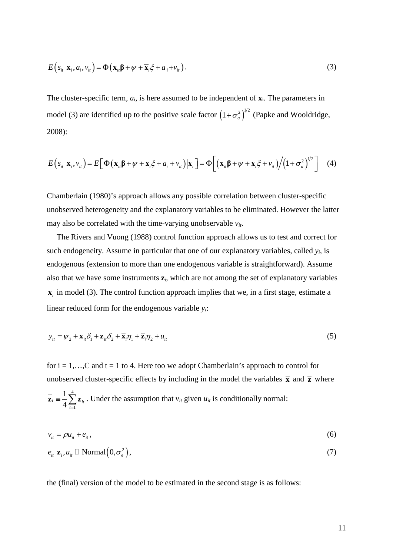$$
E\left(s_{i t} \mid \mathbf{x}_{i}, a_{i}, v_{i t}\right) = \Phi\left(\mathbf{x}_{i t} \boldsymbol{\beta} + \boldsymbol{\psi} + \overline{\mathbf{x}}_{i} \boldsymbol{\xi} + a_{i} + v_{i t}\right).
$$
\n(3)

The cluster-specific term,  $a_i$ , is here assumed to be independent of  $\mathbf{x}_i$ . The parameters in model (3) are identified up to the positive scale factor  $(1 + \sigma_a^2)^{1/2}$  (Papke and Wooldridge, 2008):

$$
E(s_{ii}|\mathbf{x}_i,\mathbf{v}_{ii}) = E\Big[\Phi\big(\mathbf{x}_{ii}\boldsymbol{\beta} + \boldsymbol{\psi} + \overline{\mathbf{x}}_i\boldsymbol{\xi} + a_i + \mathbf{v}_{ii}\big)|\mathbf{x}_i\Big] = \Phi\Big[\big(\mathbf{x}_{ii}\boldsymbol{\beta} + \boldsymbol{\psi} + \overline{\mathbf{x}}_i\boldsymbol{\xi} + \mathbf{v}_{ii}\big)\Big/\big(1 + \sigma_a^2\big)^{1/2}\Big] \quad (4)
$$

Chamberlain (1980)'s approach allows any possible correlation between cluster-specific unobserved heterogeneity and the explanatory variables to be eliminated. However the latter may also be correlated with the time-varying unobservable *vit*.

 The Rivers and Vuong (1988) control function approach allows us to test and correct for such endogeneity. Assume in particular that one of our explanatory variables, called *yi*, is endogenous (extension to more than one endogenous variable is straightforward). Assume also that we have some instruments **z**i, which are not among the set of explanatory variables  $\mathbf{x}_i$  in model (3). The control function approach implies that we, in a first stage, estimate a linear reduced form for the endogenous variable *yi*:

$$
y_{it} = \psi_2 + \mathbf{x}_{it}\delta_1 + \mathbf{z}_{it}\delta_2 + \overline{\mathbf{x}}_i\eta_1 + \overline{\mathbf{z}}_i\eta_2 + u_{it}
$$
\n<sup>(5)</sup>

for  $i = 1,...,C$  and  $t = 1$  to 4. Here too we adopt Chamberlain's approach to control for unobserved cluster-specific effects by including in the model the variables  $\bar{x}$  and  $\bar{z}$  where 4 1 1  $i \equiv \frac{1}{4} \sum_{t=1}^{8} \mathbf{Z}_{it}$  $\overline{z}_i = \frac{1}{4} \sum_{t=1}^{\infty} z_{it}$ . Under the assumption that  $v_{it}$  given  $u_{it}$  is conditionally normal:

$$
v_{it} = \rho u_{it} + e_{it},\tag{6}
$$

$$
e_{ii}|\mathbf{z}_{i},u_{ii} \Box \text{Normal}(0,\sigma_{\mathrm{e}}^{2}), \qquad (7)
$$

the (final) version of the model to be estimated in the second stage is as follows: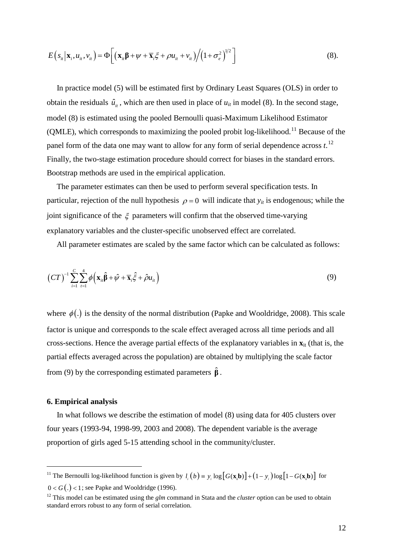$$
E\left(s_{ii}|\mathbf{x}_i,\boldsymbol{u}_i,\boldsymbol{v}_i\right) = \Phi\bigg[\big(\mathbf{x}_{ii}\boldsymbol{\beta} + \boldsymbol{\psi} + \overline{\mathbf{x}}_i\boldsymbol{\xi} + \rho\boldsymbol{u}_i + \boldsymbol{v}_i\big)\bigg/\big(1 + \sigma_e^2\big)^{1/2}\bigg] \tag{8}.
$$

 In practice model (5) will be estimated first by Ordinary Least Squares (OLS) in order to obtain the residuals  $\hat{u}_{i}$ , which are then used in place of  $u_{it}$  in model (8). In the second stage, model (8) is estimated using the pooled Bernoulli quasi-Maximum Likelihood Estimator (QMLE), which corresponds to maximizing the pooled probit log-likelihood.<sup>[11](#page-13-0)</sup> Because of the panel form of the data one may want to allow for any form of serial dependence across *t*.<sup>[12](#page-13-1)</sup> Finally, the two-stage estimation procedure should correct for biases in the standard errors. Bootstrap methods are used in the empirical application.

 The parameter estimates can then be used to perform several specification tests. In particular, rejection of the null hypothesis  $\rho = 0$  will indicate that  $y_{it}$  is endogenous; while the joint significance of the  $\xi$  parameters will confirm that the observed time-varying explanatory variables and the cluster-specific unobserved effect are correlated.

All parameter estimates are scaled by the same factor which can be calculated as follows:

$$
(CT)^{-1} \sum_{i=1}^{C} \sum_{t=1}^{4} \phi \left( \mathbf{x}_{it} \hat{\boldsymbol{\beta}} + \hat{\boldsymbol{\psi}} + \overline{\mathbf{x}}_{i} \hat{\boldsymbol{\xi}} + \hat{\boldsymbol{\rho}} u_{it} \right)
$$
(9)

where  $\phi(.)$  is the density of the normal distribution (Papke and Wooldridge, 2008). This scale factor is unique and corresponds to the scale effect averaged across all time periods and all cross-sections. Hence the average partial effects of the explanatory variables in  $\mathbf{x}_{it}$  (that is, the partial effects averaged across the population) are obtained by multiplying the scale factor from (9) by the corresponding estimated parameters  $\hat{\beta}$ .

#### **6. Empirical analysis**

-

 In what follows we describe the estimation of model (8) using data for 405 clusters over four years (1993-94, 1998-99, 2003 and 2008). The dependent variable is the average proportion of girls aged 5-15 attending school in the community/cluster.

<span id="page-13-0"></span><sup>&</sup>lt;sup>11</sup> The Bernoulli log-likelihood function is given by  $l_i(b) = y_i \log [G(x_i b)] + (1 - y_i) \log [1 - G(x_i b)]$  for

 $0 < G(.) < 1$ ; see Papke and Wooldridge (1996).

<span id="page-13-1"></span><sup>&</sup>lt;sup>12</sup> This model can be estimated using the *glm* command in Stata and the *cluster* option can be used to obtain standard errors robust to any form of serial correlation.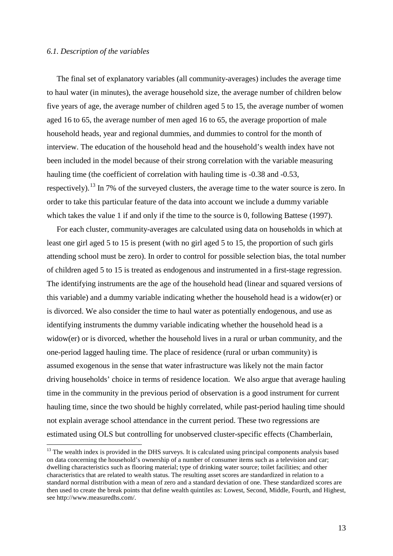#### *6.1. Description of the variables*

-

 The final set of explanatory variables (all community-averages) includes the average time to haul water (in minutes), the average household size, the average number of children below five years of age, the average number of children aged 5 to 15, the average number of women aged 16 to 65, the average number of men aged 16 to 65, the average proportion of male household heads, year and regional dummies, and dummies to control for the month of interview. The education of the household head and the household's wealth index have not been included in the model because of their strong correlation with the variable measuring hauling time (the coefficient of correlation with hauling time is  $-0.38$  and  $-0.53$ , respectively).<sup>[13](#page-14-0)</sup> In 7% of the surveyed clusters, the average time to the water source is zero. In order to take this particular feature of the data into account we include a dummy variable which takes the value 1 if and only if the time to the source is 0, following Battese (1997).

 For each cluster, community-averages are calculated using data on households in which at least one girl aged 5 to 15 is present (with no girl aged 5 to 15, the proportion of such girls attending school must be zero). In order to control for possible selection bias, the total number of children aged 5 to 15 is treated as endogenous and instrumented in a first-stage regression. The identifying instruments are the age of the household head (linear and squared versions of this variable) and a dummy variable indicating whether the household head is a widow(er) or is divorced. We also consider the time to haul water as potentially endogenous, and use as identifying instruments the dummy variable indicating whether the household head is a widow(er) or is divorced, whether the household lives in a rural or urban community, and the one-period lagged hauling time. The place of residence (rural or urban community) is assumed exogenous in the sense that water infrastructure was likely not the main factor driving households' choice in terms of residence location. We also argue that average hauling time in the community in the previous period of observation is a good instrument for current hauling time, since the two should be highly correlated, while past-period hauling time should not explain average school attendance in the current period. These two regressions are estimated using OLS but controlling for unobserved cluster-specific effects (Chamberlain,

<span id="page-14-0"></span><sup>&</sup>lt;sup>13</sup> The wealth index is provided in the DHS surveys. It is calculated using principal components analysis based on data concerning the household's ownership of a number of consumer items such as a television and car; dwelling characteristics such as flooring material; type of drinking water source; toilet facilities; and other characteristics that are related to wealth status. The resulting asset scores are standardized in relation to a standard normal distribution with a mean of zero and a standard deviation of one. These standardized scores are then used to create the break points that define wealth quintiles as: Lowest, Second, Middle, Fourth, and Highest, see http://www.measuredhs.com/.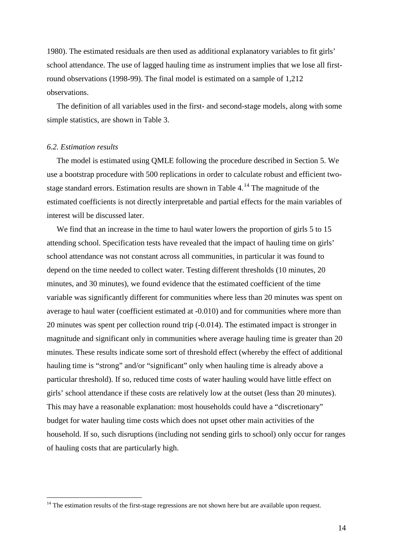1980). The estimated residuals are then used as additional explanatory variables to fit girls' school attendance. The use of lagged hauling time as instrument implies that we lose all firstround observations (1998-99). The final model is estimated on a sample of 1,212 observations.

 The definition of all variables used in the first- and second-stage models, along with some simple statistics, are shown in Table 3.

#### *6.2. Estimation results*

<u>.</u>

 The model is estimated using QMLE following the procedure described in Section 5. We use a bootstrap procedure with 500 replications in order to calculate robust and efficient twostage standard errors. Estimation results are shown in Table 4.[14](#page-15-0) The magnitude of the estimated coefficients is not directly interpretable and partial effects for the main variables of interest will be discussed later.

We find that an increase in the time to haul water lowers the proportion of girls 5 to 15 attending school. Specification tests have revealed that the impact of hauling time on girls' school attendance was not constant across all communities, in particular it was found to depend on the time needed to collect water. Testing different thresholds (10 minutes, 20 minutes, and 30 minutes), we found evidence that the estimated coefficient of the time variable was significantly different for communities where less than 20 minutes was spent on average to haul water (coefficient estimated at -0.010) and for communities where more than 20 minutes was spent per collection round trip (-0.014). The estimated impact is stronger in magnitude and significant only in communities where average hauling time is greater than 20 minutes. These results indicate some sort of threshold effect (whereby the effect of additional hauling time is "strong" and/or "significant" only when hauling time is already above a particular threshold). If so, reduced time costs of water hauling would have little effect on girls' school attendance if these costs are relatively low at the outset (less than 20 minutes). This may have a reasonable explanation: most households could have a "discretionary" budget for water hauling time costs which does not upset other main activities of the household. If so, such disruptions (including not sending girls to school) only occur for ranges of hauling costs that are particularly high.

<span id="page-15-0"></span><sup>&</sup>lt;sup>14</sup> The estimation results of the first-stage regressions are not shown here but are available upon request.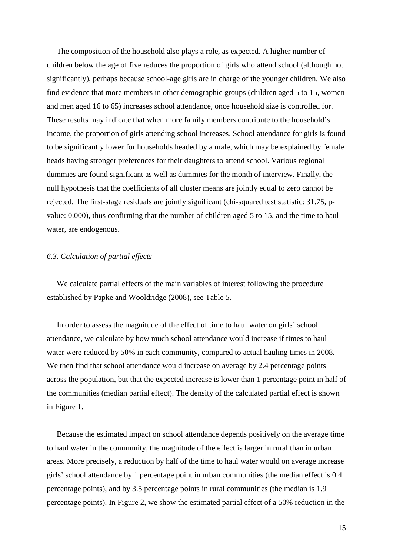The composition of the household also plays a role, as expected. A higher number of children below the age of five reduces the proportion of girls who attend school (although not significantly), perhaps because school-age girls are in charge of the younger children. We also find evidence that more members in other demographic groups (children aged 5 to 15, women and men aged 16 to 65) increases school attendance, once household size is controlled for. These results may indicate that when more family members contribute to the household's income, the proportion of girls attending school increases. School attendance for girls is found to be significantly lower for households headed by a male, which may be explained by female heads having stronger preferences for their daughters to attend school. Various regional dummies are found significant as well as dummies for the month of interview. Finally, the null hypothesis that the coefficients of all cluster means are jointly equal to zero cannot be rejected. The first-stage residuals are jointly significant (chi-squared test statistic: 31.75, pvalue: 0.000), thus confirming that the number of children aged 5 to 15, and the time to haul water, are endogenous.

#### *6.3. Calculation of partial effects*

 We calculate partial effects of the main variables of interest following the procedure established by Papke and Wooldridge (2008), see Table 5.

 In order to assess the magnitude of the effect of time to haul water on girls' school attendance, we calculate by how much school attendance would increase if times to haul water were reduced by 50% in each community, compared to actual hauling times in 2008. We then find that school attendance would increase on average by 2.4 percentage points across the population, but that the expected increase is lower than 1 percentage point in half of the communities (median partial effect). The density of the calculated partial effect is shown in Figure 1.

 Because the estimated impact on school attendance depends positively on the average time to haul water in the community, the magnitude of the effect is larger in rural than in urban areas. More precisely, a reduction by half of the time to haul water would on average increase girls' school attendance by 1 percentage point in urban communities (the median effect is 0.4 percentage points), and by 3.5 percentage points in rural communities (the median is 1.9 percentage points). In Figure 2, we show the estimated partial effect of a 50% reduction in the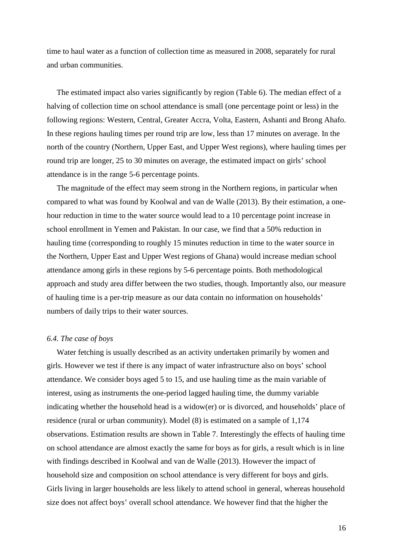time to haul water as a function of collection time as measured in 2008, separately for rural and urban communities.

 The estimated impact also varies significantly by region (Table 6). The median effect of a halving of collection time on school attendance is small (one percentage point or less) in the following regions: Western, Central, Greater Accra, Volta, Eastern, Ashanti and Brong Ahafo. In these regions hauling times per round trip are low, less than 17 minutes on average. In the north of the country (Northern, Upper East, and Upper West regions), where hauling times per round trip are longer, 25 to 30 minutes on average, the estimated impact on girls' school attendance is in the range 5-6 percentage points.

 The magnitude of the effect may seem strong in the Northern regions, in particular when compared to what was found by Koolwal and van de Walle (2013). By their estimation, a onehour reduction in time to the water source would lead to a 10 percentage point increase in school enrollment in Yemen and Pakistan. In our case, we find that a 50% reduction in hauling time (corresponding to roughly 15 minutes reduction in time to the water source in the Northern, Upper East and Upper West regions of Ghana) would increase median school attendance among girls in these regions by 5-6 percentage points. Both methodological approach and study area differ between the two studies, though. Importantly also, our measure of hauling time is a per-trip measure as our data contain no information on households' numbers of daily trips to their water sources.

#### *6.4. The case of boys*

 Water fetching is usually described as an activity undertaken primarily by women and girls. However we test if there is any impact of water infrastructure also on boys' school attendance. We consider boys aged 5 to 15, and use hauling time as the main variable of interest, using as instruments the one-period lagged hauling time, the dummy variable indicating whether the household head is a widow(er) or is divorced, and households' place of residence (rural or urban community). Model (8) is estimated on a sample of 1,174 observations. Estimation results are shown in Table 7. Interestingly the effects of hauling time on school attendance are almost exactly the same for boys as for girls, a result which is in line with findings described in Koolwal and van de Walle (2013). However the impact of household size and composition on school attendance is very different for boys and girls. Girls living in larger households are less likely to attend school in general, whereas household size does not affect boys' overall school attendance. We however find that the higher the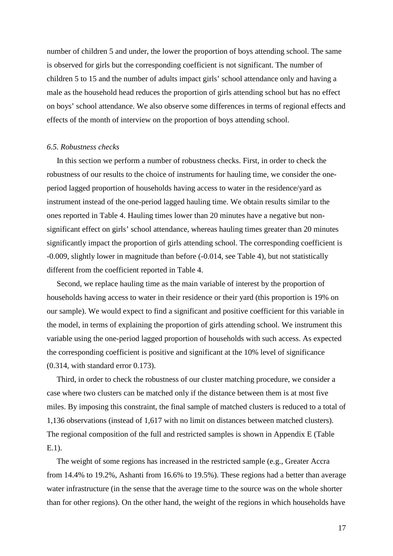number of children 5 and under, the lower the proportion of boys attending school. The same is observed for girls but the corresponding coefficient is not significant. The number of children 5 to 15 and the number of adults impact girls' school attendance only and having a male as the household head reduces the proportion of girls attending school but has no effect on boys' school attendance. We also observe some differences in terms of regional effects and effects of the month of interview on the proportion of boys attending school.

#### *6.5. Robustness checks*

 In this section we perform a number of robustness checks. First, in order to check the robustness of our results to the choice of instruments for hauling time, we consider the oneperiod lagged proportion of households having access to water in the residence/yard as instrument instead of the one-period lagged hauling time. We obtain results similar to the ones reported in Table 4. Hauling times lower than 20 minutes have a negative but nonsignificant effect on girls' school attendance, whereas hauling times greater than 20 minutes significantly impact the proportion of girls attending school. The corresponding coefficient is -0.009, slightly lower in magnitude than before (-0.014, see Table 4), but not statistically different from the coefficient reported in Table 4.

 Second, we replace hauling time as the main variable of interest by the proportion of households having access to water in their residence or their yard (this proportion is 19% on our sample). We would expect to find a significant and positive coefficient for this variable in the model, in terms of explaining the proportion of girls attending school. We instrument this variable using the one-period lagged proportion of households with such access. As expected the corresponding coefficient is positive and significant at the 10% level of significance (0.314, with standard error 0.173).

 Third, in order to check the robustness of our cluster matching procedure, we consider a case where two clusters can be matched only if the distance between them is at most five miles. By imposing this constraint, the final sample of matched clusters is reduced to a total of 1,136 observations (instead of 1,617 with no limit on distances between matched clusters). The regional composition of the full and restricted samples is shown in Appendix E (Table E.1).

 The weight of some regions has increased in the restricted sample (e.g., Greater Accra from 14.4% to 19.2%, Ashanti from 16.6% to 19.5%). These regions had a better than average water infrastructure (in the sense that the average time to the source was on the whole shorter than for other regions). On the other hand, the weight of the regions in which households have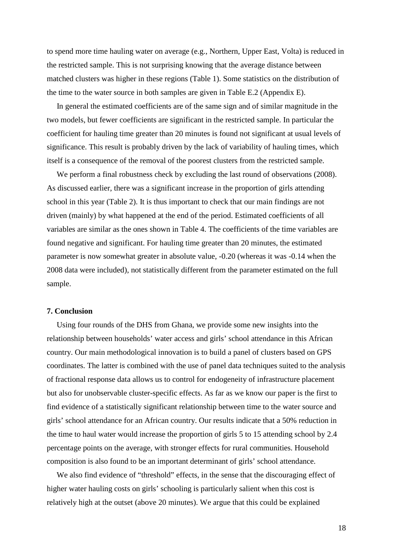to spend more time hauling water on average (e.g., Northern, Upper East, Volta) is reduced in the restricted sample. This is not surprising knowing that the average distance between matched clusters was higher in these regions (Table 1). Some statistics on the distribution of the time to the water source in both samples are given in Table E.2 (Appendix E).

 In general the estimated coefficients are of the same sign and of similar magnitude in the two models, but fewer coefficients are significant in the restricted sample. In particular the coefficient for hauling time greater than 20 minutes is found not significant at usual levels of significance. This result is probably driven by the lack of variability of hauling times, which itself is a consequence of the removal of the poorest clusters from the restricted sample.

 We perform a final robustness check by excluding the last round of observations (2008). As discussed earlier, there was a significant increase in the proportion of girls attending school in this year (Table 2). It is thus important to check that our main findings are not driven (mainly) by what happened at the end of the period. Estimated coefficients of all variables are similar as the ones shown in Table 4. The coefficients of the time variables are found negative and significant. For hauling time greater than 20 minutes, the estimated parameter is now somewhat greater in absolute value, -0.20 (whereas it was -0.14 when the 2008 data were included), not statistically different from the parameter estimated on the full sample.

#### **7. Conclusion**

 Using four rounds of the DHS from Ghana, we provide some new insights into the relationship between households' water access and girls' school attendance in this African country. Our main methodological innovation is to build a panel of clusters based on GPS coordinates. The latter is combined with the use of panel data techniques suited to the analysis of fractional response data allows us to control for endogeneity of infrastructure placement but also for unobservable cluster-specific effects. As far as we know our paper is the first to find evidence of a statistically significant relationship between time to the water source and girls' school attendance for an African country. Our results indicate that a 50% reduction in the time to haul water would increase the proportion of girls 5 to 15 attending school by 2.4 percentage points on the average, with stronger effects for rural communities. Household composition is also found to be an important determinant of girls' school attendance.

 We also find evidence of "threshold" effects, in the sense that the discouraging effect of higher water hauling costs on girls' schooling is particularly salient when this cost is relatively high at the outset (above 20 minutes). We argue that this could be explained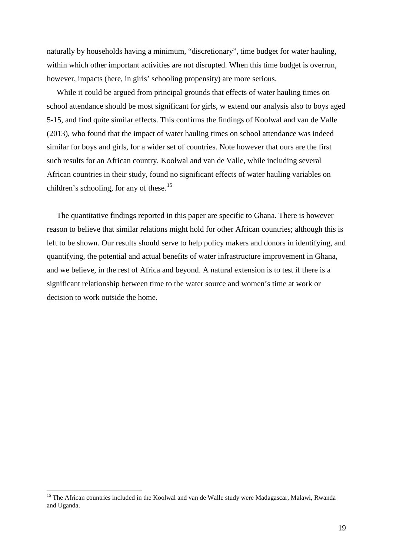naturally by households having a minimum, "discretionary", time budget for water hauling, within which other important activities are not disrupted. When this time budget is overrun, however, impacts (here, in girls' schooling propensity) are more serious.

 While it could be argued from principal grounds that effects of water hauling times on school attendance should be most significant for girls, w extend our analysis also to boys aged 5-15, and find quite similar effects. This confirms the findings of Koolwal and van de Valle (2013), who found that the impact of water hauling times on school attendance was indeed similar for boys and girls, for a wider set of countries. Note however that ours are the first such results for an African country. Koolwal and van de Valle, while including several African countries in their study, found no significant effects of water hauling variables on children's schooling, for any of these.<sup>[15](#page-20-0)</sup>

 The quantitative findings reported in this paper are specific to Ghana. There is however reason to believe that similar relations might hold for other African countries; although this is left to be shown. Our results should serve to help policy makers and donors in identifying, and quantifying, the potential and actual benefits of water infrastructure improvement in Ghana, and we believe, in the rest of Africa and beyond. A natural extension is to test if there is a significant relationship between time to the water source and women's time at work or decision to work outside the home.

-

<span id="page-20-0"></span><sup>&</sup>lt;sup>15</sup> The African countries included in the Koolwal and van de Walle study were Madagascar, Malawi, Rwanda and Uganda.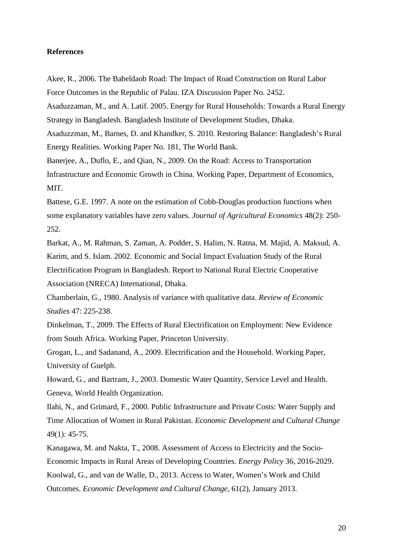#### **References**

Akee, R., 2006. The Babeldaob Road: The Impact of Road Construction on Rural Labor Force Outcomes in the Republic of Palau. IZA Discussion Paper No. 2452.

Asaduzzaman, M., and A. Latif. 2005. Energy for Rural Households: Towards a Rural Energy Strategy in Bangladesh. Bangladesh Institute of Development Studies, Dhaka.

Asaduzzman, M., Barnes, D. and Khandker, S. 2010. Restoring Balance: Bangladesh's Rural Energy Realities. Working Paper No. 181, The World Bank.

Banerjee, A., Duflo, E., and Qian, N., 2009. On the Road: Access to Transportation Infrastructure and Economic Growth in China. Working Paper, Department of Economics, MIT.

Battese, G.E. 1997. A note on the estimation of Cobb-Douglas production functions when some explanatory variables have zero values. *Journal of Agricultural Economics* 48(2): 250- 252.

Barkat, A., M. Rahman, S. Zaman, A. Podder, S. Halim, N. Ratna, M. Majid, A. Maksud, A. Karim, and S. Islam. 2002. Economic and Social Impact Evaluation Study of the Rural Electrification Program in Bangladesh. Report to National Rural Electric Cooperative Association (NRECA) International, Dhaka.

Chamberlain, G., 1980. Analysis of variance with qualitative data. *Review of Economic Studies* 47: 225-238.

Dinkelman, T., 2009. The Effects of Rural Electrification on Employment: New Evidence from South Africa. Working Paper, Princeton University.

Grogan, L., and Sadanand, A., 2009. Electrification and the Household. Working Paper, University of Guelph.

Howard, G., and Bartram, J., 2003. Domestic Water Quantity, Service Level and Health. Geneva, World Health Organization.

Ilahi, N., and Grimard, F., 2000. Public Infrastructure and Private Costs: Water Supply and Time Allocation of Women in Rural Pakistan. *Economic Development and Cultural Change*  49(1): 45-75.

Kanagawa, M. and Nakta, T., 2008. Assessment of Access to Electricity and the Socio-Economic Impacts in Rural Areas of Developing Countries. *Energy Policy* 36, 2016-2029. Koolwal, G., and van de Walle, D., 2013. Access to Water, Women's Work and Child Outcomes. *Economic Development and Cultural Change*, 61(2), January 2013.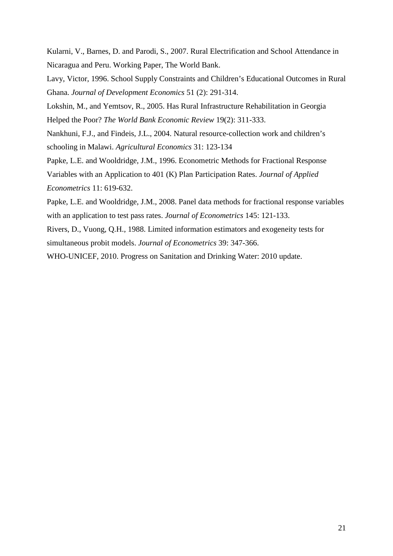Kularni, V., Barnes, D. and Parodi, S., 2007. Rural Electrification and School Attendance in Nicaragua and Peru. Working Paper, The World Bank.

Lavy, Victor, 1996. School Supply Constraints and Children's Educational Outcomes in Rural Ghana. *Journal of Development Economics* 51 (2): 291-314.

Lokshin, M., and Yemtsov, R., 2005. Has Rural Infrastructure Rehabilitation in Georgia Helped the Poor? *The World Bank Economic Review* 19(2): 311-333.

Nankhuni, F.J., and Findeis, J.L., 2004. Natural resource-collection work and children's schooling in Malawi. *Agricultural Economics* 31: 123-134

Papke, L.E. and Wooldridge, J.M., 1996. Econometric Methods for Fractional Response Variables with an Application to 401 (K) Plan Participation Rates. *Journal of Applied Econometrics* 11: 619-632.

Papke, L.E. and Wooldridge, J.M., 2008. Panel data methods for fractional response variables with an application to test pass rates. *Journal of Econometrics* 145: 121-133.

Rivers, D., Vuong, Q.H., 1988. Limited information estimators and exogeneity tests for simultaneous probit models. *Journal of Econometrics* 39: 347-366.

WHO-UNICEF, 2010. Progress on Sanitation and Drinking Water: 2010 update.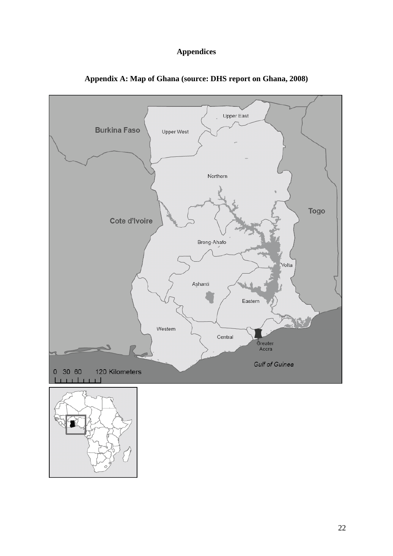# **Appendices**



**Appendix A: Map of Ghana (source: DHS report on Ghana, 2008)**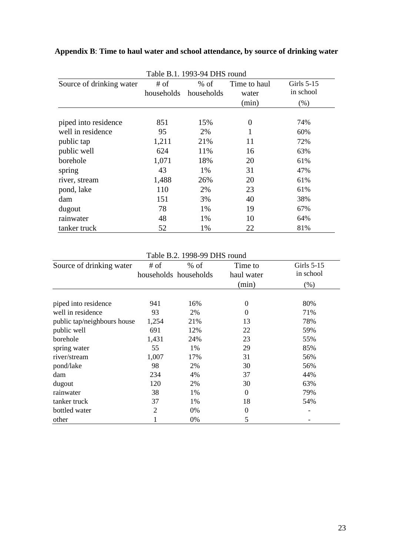| Table B.1. 1993-94 DHS round |       |                                 |                       |                           |  |
|------------------------------|-------|---------------------------------|-----------------------|---------------------------|--|
| Source of drinking water     | # of  | $%$ of<br>households households | Time to haul<br>water | Girls $5-15$<br>in school |  |
|                              |       |                                 | (min)                 | (% )                      |  |
| piped into residence         | 851   | 15%                             | $\theta$              | 74%                       |  |
| well in residence            | 95    | 2%                              |                       | 60%                       |  |
| public tap                   | 1,211 | 21%                             | 11                    | 72%                       |  |
| public well                  | 624   | 11%                             | 16                    | 63%                       |  |
| borehole                     | 1,071 | 18%                             | 20                    | 61%                       |  |
| spring                       | 43    | 1%                              | 31                    | 47%                       |  |
| river, stream                | 1,488 | 26%                             | 20                    | 61%                       |  |
| pond, lake                   | 110   | 2%                              | 23                    | 61%                       |  |
| dam                          | 151   | 3%                              | 40                    | 38%                       |  |
| dugout                       | 78    | 1%                              | 19                    | 67%                       |  |
| rainwater                    | 48    | 1%                              | 10                    | 64%                       |  |
| tanker truck                 | 52    | 1%                              | 22                    | 81%                       |  |

# **Appendix B**: **Time to haul water and school attendance, by source of drinking water**

Table B.2. 1998-99 DHS round

| Source of drinking water    | # of           | $%$ of                | Time to          | Girls $5-15$ |
|-----------------------------|----------------|-----------------------|------------------|--------------|
|                             |                | households households | haul water       | in school    |
|                             |                |                       | (min)            | (% )         |
|                             |                |                       |                  |              |
| piped into residence        | 941            | 16%                   | $\boldsymbol{0}$ | 80%          |
| well in residence           | 93             | 2%                    | $\theta$         | 71%          |
| public tap/neighbours house | 1,254          | 21%                   | 13               | 78%          |
| public well                 | 691            | 12%                   | 22               | 59%          |
| borehole                    | 1,431          | 24%                   | 23               | 55%          |
| spring water                | 55             | 1%                    | 29               | 85%          |
| river/stream                | 1,007          | 17%                   | 31               | 56%          |
| pond/lake                   | 98             | 2%                    | 30               | 56%          |
| dam                         | 234            | 4%                    | 37               | 44%          |
| dugout                      | 120            | 2%                    | 30               | 63%          |
| rainwater                   | 38             | 1%                    | $\boldsymbol{0}$ | 79%          |
| tanker truck                | 37             | 1%                    | 18               | 54%          |
| bottled water               | $\overline{2}$ | $0\%$                 | 0                |              |
| other                       |                | 0%                    | 5                |              |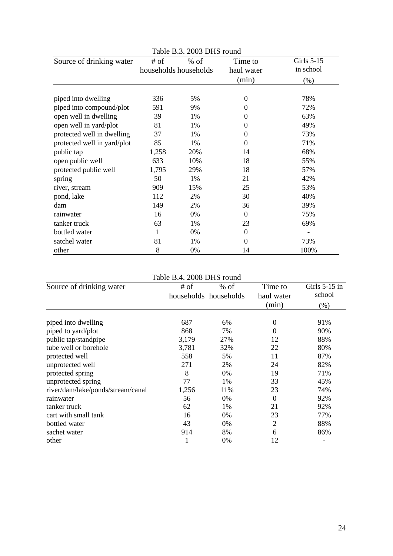| Table B.3. 2003 DHS round   |       |                       |                     |                         |  |
|-----------------------------|-------|-----------------------|---------------------|-------------------------|--|
| Source of drinking water    | # of  | $%$ of                | Time to             | Girls 5-15<br>in school |  |
|                             |       | households households | haul water<br>(min) | (%)                     |  |
| piped into dwelling         | 336   | 5%                    | 0                   | 78%                     |  |
| piped into compound/plot    | 591   | 9%                    | 0                   | 72%                     |  |
| open well in dwelling       | 39    | $1\%$                 | 0                   | 63%                     |  |
| open well in yard/plot      | 81    | 1%                    | 0                   | 49%                     |  |
| protected well in dwelling  | 37    | 1%                    | 0                   | 73%                     |  |
| protected well in yard/plot | 85    | 1%                    | $\overline{0}$      | 71%                     |  |
| public tap                  | 1,258 | 20%                   | 14                  | 68%                     |  |
| open public well            | 633   | 10%                   | 18                  | 55%                     |  |
| protected public well       | 1,795 | 29%                   | 18                  | 57%                     |  |
| spring                      | 50    | 1%                    | 21                  | 42%                     |  |
| river, stream               | 909   | 15%                   | 25                  | 53%                     |  |
| pond, lake                  | 112   | 2%                    | 30                  | 40%                     |  |
| dam                         | 149   | 2%                    | 36                  | 39%                     |  |
| rainwater                   | 16    | 0%                    | $\theta$            | 75%                     |  |
| tanker truck                | 63    | 1%                    | 23                  | 69%                     |  |
| bottled water               | 1     | $0\%$                 | $\overline{0}$      |                         |  |
| satchel water               | 81    | 1%                    | $\overline{0}$      | 73%                     |  |
| other                       | 8     | 0%                    | 14                  | 100%                    |  |

#### Table B.4. 2008 DHS round

| Source of drinking water          | # of  | $%$ of                | Time to    | Girls $5-15$ in |
|-----------------------------------|-------|-----------------------|------------|-----------------|
|                                   |       | households households | haul water | school          |
|                                   |       |                       | (min)      | (% )            |
|                                   |       |                       |            |                 |
| piped into dwelling               | 687   | 6%                    | 0          | 91%             |
| piped to yard/plot                | 868   | 7%                    | $\Omega$   | 90%             |
| public tap/standpipe              | 3,179 | 27%                   | 12         | 88%             |
| tube well or borehole             | 3,781 | 32%                   | 22         | 80%             |
| protected well                    | 558   | 5%                    | 11         | 87%             |
| unprotected well                  | 271   | 2%                    | 24         | 82%             |
| protected spring                  | 8     | 0%                    | 19         | 71%             |
| unprotected spring                | 77    | 1%                    | 33         | 45%             |
| river/dam/lake/ponds/stream/canal | 1,256 | 11%                   | 23         | 74%             |
| rainwater                         | 56    | 0%                    | $\Omega$   | 92%             |
| tanker truck                      | 62    | 1%                    | 21         | 92%             |
| cart with small tank              | 16    | 0%                    | 23         | 77%             |
| bottled water                     | 43    | 0%                    | 2          | 88%             |
| sachet water                      | 914   | 8%                    | 6          | 86%             |
| other                             |       | 0%                    | 12         |                 |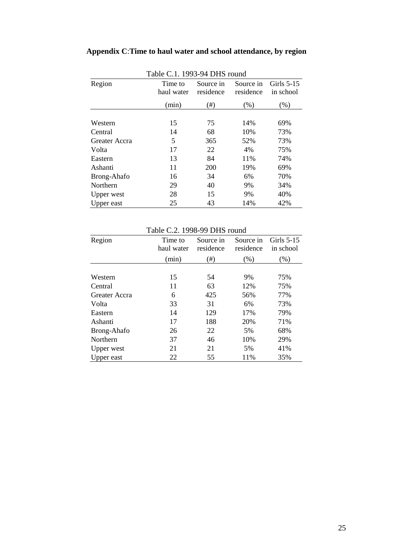# **Appendix C**:**Time to haul water and school attendance, by region**

|               | 1 adie C.I. 1993-94 DHS found |           |           |              |  |  |  |
|---------------|-------------------------------|-----------|-----------|--------------|--|--|--|
| Region        | Time to                       | Source in | Source in | Girls $5-15$ |  |  |  |
|               | haul water                    | residence | residence | in school    |  |  |  |
|               | (min)                         | $(\#)$    | (% )      | $(\%)$       |  |  |  |
| Western       | 15                            | 75        | 14%       | 69%          |  |  |  |
| Central       | 14                            | 68        | 10%       | 73%          |  |  |  |
| Greater Accra | 5                             | 365       | 52%       | 73%          |  |  |  |
| Volta         | 17                            | 22        | 4%        | 75%          |  |  |  |
| Eastern       | 13                            | 84        | 11%       | 74%          |  |  |  |
| Ashanti       | 11                            | 200       | 19%       | 69%          |  |  |  |
| Brong-Ahafo   | 16                            | 34        | 6%        | 70%          |  |  |  |
| Northern      | 29                            | 40        | 9%        | 34%          |  |  |  |
| Upper west    | 28                            | 15        | 9%        | 40%          |  |  |  |
| Upper east    | 25                            | 43        | 14%       | 42%          |  |  |  |

Table C.1. 1993-94 DHS round

Table C.2. 1998-99 DHS round

| Region        | Time to<br>haul water | Source in<br>residence | Source in<br>residence | Girls $5-15$<br>in school |
|---------------|-----------------------|------------------------|------------------------|---------------------------|
|               | (min)                 | $^{(#)}$               | (% )                   | (% )                      |
|               |                       |                        |                        |                           |
| Western       | 15                    | 54                     | 9%                     | 75%                       |
| Central       | 11                    | 63                     | 12%                    | 75%                       |
| Greater Accra | 6                     | 425                    | 56%                    | 77%                       |
| Volta         | 33                    | 31                     | 6%                     | 73%                       |
| Eastern       | 14                    | 129                    | 17%                    | 79%                       |
| Ashanti       | 17                    | 188                    | 20%                    | 71%                       |
| Brong-Ahafo   | 26                    | 22                     | 5%                     | 68%                       |
| Northern      | 37                    | 46                     | 10%                    | 29%                       |
| Upper west    | 21                    | 21                     | 5%                     | 41%                       |
| Upper east    | 22                    | 55                     | 11%                    | 35%                       |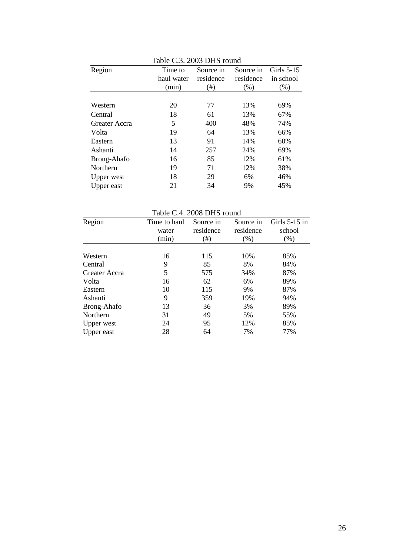| Region        | Time to    | Source in | Source in | Girls 5-15 |
|---------------|------------|-----------|-----------|------------|
|               | haul water | residence | residence | in school  |
|               | (min)      | $(\#)$    | $(\% )$   | (% )       |
|               |            |           |           |            |
| Western       | 20         | 77        | 13%       | 69%        |
| Central       | 18         | 61        | 13%       | 67%        |
| Greater Accra | 5          | 400       | 48%       | 74%        |
| Volta         | 19         | 64        | 13%       | 66%        |
| Eastern       | 13         | 91        | 14%       | 60%        |
| Ashanti       | 14         | 257       | 24%       | 69%        |
| Brong-Ahafo   | 16         | 85        | 12%       | 61%        |
| Northern      | 19         | 71        | 12%       | 38%        |
| Upper west    | 18         | 29        | 6%        | 46%        |
| Upper east    | 21         | 34        | 9%        | 45%        |

Table C.3. 2003 DHS round

Table C.4. 2008 DHS round

| Region            | Time to haul<br>water | Source in<br>residence | Source in<br>residence | Girls $5-15$ in<br>school |
|-------------------|-----------------------|------------------------|------------------------|---------------------------|
|                   | (min)                 | (#)                    | (% )                   | $(\%)$                    |
|                   |                       |                        |                        |                           |
| Western           | 16                    | 115                    | 10%                    | 85%                       |
| Central           | 9                     | 85                     | 8%                     | 84%                       |
| Greater Accra     | 5                     | 575                    | 34%                    | 87%                       |
| Volta             | 16                    | 62                     | 6%                     | 89%                       |
| Eastern           | 10                    | 115                    | 9%                     | 87%                       |
| Ashanti           | 9                     | 359                    | 19%                    | 94%                       |
| Brong-Ahafo       | 13                    | 36                     | 3%                     | 89%                       |
| Northern          | 31                    | 49                     | 5%                     | 55%                       |
| <b>Upper</b> west | 24                    | 95                     | 12%                    | 85%                       |
| Upper east        | 28                    | 64                     | 7%                     | 77%                       |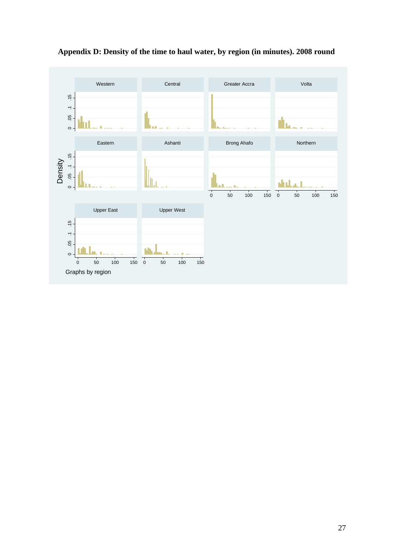

# **Appendix D: Density of the time to haul water, by region (in minutes). 2008 round**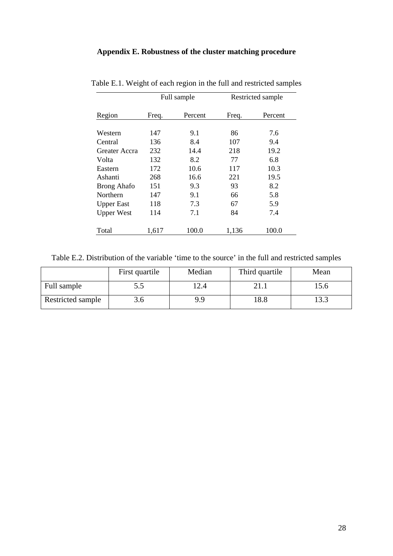## **Appendix E. Robustness of the cluster matching procedure**

|                    |       | Full sample |       | Restricted sample |
|--------------------|-------|-------------|-------|-------------------|
| Region             | Freq. | Percent     | Freq. | Percent           |
|                    |       |             |       |                   |
| Western            | 147   | 9.1         | 86    | 7.6               |
| Central            | 136   | 8.4         | 107   | 9.4               |
| Greater Accra      | 232   | 14.4        | 218   | 19.2              |
| Volta              | 132   | 8.2         | 77    | 6.8               |
| Eastern            | 172   | 10.6        | 117   | 10.3              |
| Ashanti            | 268   | 16.6        | 221   | 19.5              |
| <b>Brong Ahafo</b> | 151   | 9.3         | 93    | 8.2               |
| Northern           | 147   | 9.1         | 66    | 5.8               |
| <b>Upper East</b>  | 118   | 7.3         | 67    | 5.9               |
| <b>Upper West</b>  | 114   | 7.1         | 84    | 7.4               |
| Total              | 1,617 | 100.0       | 1,136 | 100.0             |

Table E.1. Weight of each region in the full and restricted samples

Table E.2. Distribution of the variable 'time to the source' in the full and restricted samples

|                   | First quartile | Median | Third quartile | Mean |
|-------------------|----------------|--------|----------------|------|
| Full sample       | ر. ر           | 12.4   |                | 15.0 |
| Restricted sample | 3.O            | 9.9    | 18.8           | 13.3 |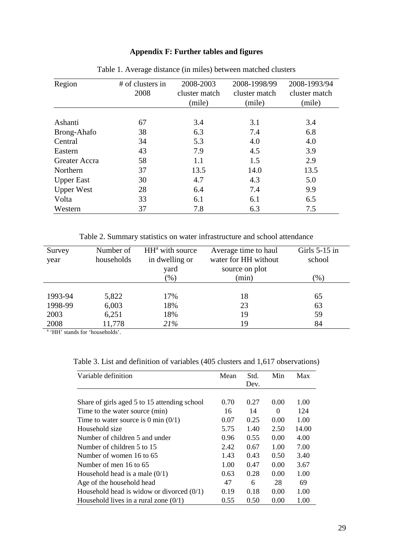## **Appendix F: Further tables and figures**

| Region            | # of clusters in<br>2008 | 2008-2003<br>cluster match<br>(mile) | 2008-1998/99<br>cluster match<br>(mile) | 2008-1993/94<br>cluster match<br>(mile) |
|-------------------|--------------------------|--------------------------------------|-----------------------------------------|-----------------------------------------|
|                   |                          |                                      |                                         |                                         |
| Ashanti           | 67                       | 3.4                                  | 3.1                                     | 3.4                                     |
| Brong-Ahafo       | 38                       | 6.3                                  | 7.4                                     | 6.8                                     |
| Central           | 34                       | 5.3                                  | 4.0                                     | 4.0                                     |
| Eastern           | 43                       | 7.9                                  | 4.5                                     | 3.9                                     |
| Greater Accra     | 58                       | 1.1                                  | 1.5                                     | 2.9                                     |
| Northern          | 37                       | 13.5                                 | 14.0                                    | 13.5                                    |
| <b>Upper East</b> | 30                       | 4.7                                  | 4.3                                     | 5.0                                     |
| <b>Upper West</b> | 28                       | 6.4                                  | 7.4                                     | 9.9                                     |
| Volta             | 33                       | 6.1                                  | 6.1                                     | 6.5                                     |
| Western           | 37                       | 7.8                                  | 6.3                                     | 7.5                                     |

Table 1. Average distance (in miles) between matched clusters

Table 2. Summary statistics on water infrastructure and school attendance

| Number of  | $HHa$ with source | Average time to haul | Girls $5-15$ in |
|------------|-------------------|----------------------|-----------------|
| households | in dwelling or    | water for HH without | school          |
|            | yard              | source on plot       |                 |
|            | $(\%)$            | (min)                | $(\% )$         |
|            |                   |                      |                 |
| 5,822      | 17%               | 18                   | 65              |
| 6,003      | 18%               | 23                   | 63              |
| 6,251      | 18%               | 19                   | 59              |
| 11,778     | 21%               | 19                   | 84              |
|            | .                 |                      |                 |

 $\frac{a}{a}$  'HH' stands for 'households'.

Table 3. List and definition of variables (405 clusters and 1,617 observations)

| Variable definition                          | Mean | Std.<br>Dev. | Min      | Max   |
|----------------------------------------------|------|--------------|----------|-------|
|                                              |      |              |          |       |
| Share of girls aged 5 to 15 attending school | 0.70 | 0.27         | 0.00     | 1.00  |
| Time to the water source (min)               | 16   | 14           | $\Omega$ | 124   |
| Time to water source is 0 min $(0/1)$        | 0.07 | 0.25         | 0.00     | 1.00  |
| Household size                               | 5.75 | 1.40         | 2.50     | 14.00 |
| Number of children 5 and under               | 0.96 | 0.55         | 0.00     | 4.00  |
| Number of children 5 to 15                   | 2.42 | 0.67         | 1.00     | 7.00  |
| Number of women 16 to 65                     | 1.43 | 0.43         | 0.50     | 3.40  |
| Number of men 16 to 65                       | 1.00 | 0.47         | 0.00     | 3.67  |
| Household head is a male $(0/1)$             | 0.63 | 0.28         | 0.00     | 1.00  |
| Age of the household head                    | 47   | 6            | 28       | 69    |
| Household head is widow or divorced $(0/1)$  | 0.19 | 0.18         | 0.00     | 1.00  |
| Household lives in a rural zone $(0/1)$      | 0.55 | 0.50         | 0.00     | 1.00  |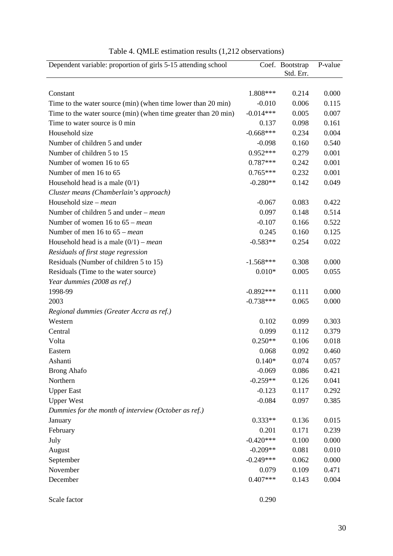| Dependent variable: proportion of girls 5-15 attending school  |             | Coef. Bootstrap<br>Std. Err. | P-value |
|----------------------------------------------------------------|-------------|------------------------------|---------|
|                                                                |             |                              |         |
| Constant                                                       | 1.808***    | 0.214                        | 0.000   |
| Time to the water source (min) (when time lower than 20 min)   | $-0.010$    | 0.006                        | 0.115   |
| Time to the water source (min) (when time greater than 20 min) | $-0.014***$ | 0.005                        | 0.007   |
| Time to water source is 0 min                                  | 0.137       | 0.098                        | 0.161   |
| Household size                                                 | $-0.668***$ | 0.234                        | 0.004   |
| Number of children 5 and under                                 | $-0.098$    | 0.160                        | 0.540   |
| Number of children 5 to 15                                     | $0.952***$  | 0.279                        | 0.001   |
| Number of women 16 to 65                                       | $0.787***$  | 0.242                        | 0.001   |
| Number of men 16 to 65                                         | $0.765***$  | 0.232                        | 0.001   |
| Household head is a male $(0/1)$                               | $-0.280**$  | 0.142                        | 0.049   |
| Cluster means (Chamberlain's approach)                         |             |                              |         |
| Household size – <i>mean</i>                                   | $-0.067$    | 0.083                        | 0.422   |
| Number of children 5 and under – <i>mean</i>                   | 0.097       | 0.148                        | 0.514   |
| Number of women $16$ to $65$ – <i>mean</i>                     | $-0.107$    | 0.166                        | 0.522   |
| Number of men 16 to $65$ – <i>mean</i>                         | 0.245       | 0.160                        | 0.125   |
| Household head is a male $(0/1)$ – <i>mean</i>                 | $-0.583**$  | 0.254                        | 0.022   |
| Residuals of first stage regression                            |             |                              |         |
| Residuals (Number of children 5 to 15)                         | $-1.568***$ | 0.308                        | 0.000   |
| Residuals (Time to the water source)                           | $0.010*$    | 0.005                        | 0.055   |
| Year dummies (2008 as ref.)                                    |             |                              |         |
| 1998-99                                                        | $-0.892***$ | 0.111                        | 0.000   |
| 2003                                                           | $-0.738***$ | 0.065                        | 0.000   |
| Regional dummies (Greater Accra as ref.)                       |             |                              |         |
| Western                                                        | 0.102       | 0.099                        | 0.303   |
| Central                                                        | 0.099       | 0.112                        | 0.379   |
| Volta                                                          | $0.250**$   | 0.106                        | 0.018   |
| Eastern                                                        | 0.068       | 0.092                        | 0.460   |
| Ashanti                                                        | $0.140*$    | 0.074                        | 0.057   |
| <b>Brong Ahafo</b>                                             | $-0.069$    | 0.086                        | 0.421   |
| Northern                                                       | $-0.259**$  | 0.126                        | 0.041   |
| <b>Upper East</b>                                              | $-0.123$    | 0.117                        | 0.292   |
| <b>Upper West</b>                                              | $-0.084$    | 0.097                        | 0.385   |
| Dummies for the month of interview (October as ref.)           |             |                              |         |
| January                                                        | $0.333**$   | 0.136                        | 0.015   |
| February                                                       | 0.201       | 0.171                        | 0.239   |
| July                                                           | $-0.420***$ | 0.100                        | 0.000   |
| August                                                         | $-0.209**$  | 0.081                        | 0.010   |
| September                                                      | $-0.249***$ | 0.062                        | 0.000   |
| November                                                       | 0.079       | 0.109                        | 0.471   |
| December                                                       | $0.407***$  | 0.143                        | 0.004   |
|                                                                |             |                              |         |
| Scale factor                                                   | 0.290       |                              |         |

Table 4. QMLE estimation results (1,212 observations)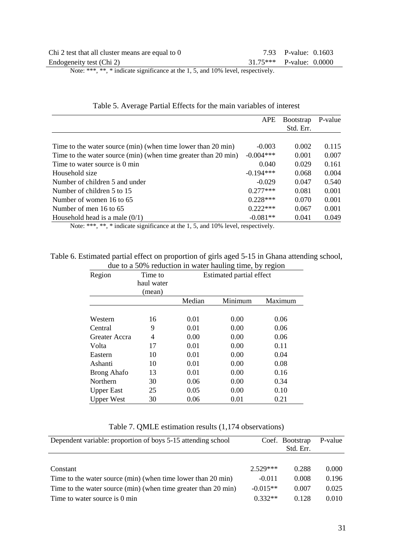| Chi 2 test that all cluster means are equal to 0 | 7.93 P-value: 0.1603       |
|--------------------------------------------------|----------------------------|
| Endogeneity test (Chi 2)                         | $31.75***$ P-value: 0.0000 |

Note: \*\*\*, \*\*, \* indicate significance at the 1, 5, and 10% level, respectively.

|                                                                | <b>APE</b>  | <b>B</b> ootstrap | P-value |
|----------------------------------------------------------------|-------------|-------------------|---------|
|                                                                |             | Std. Err.         |         |
|                                                                |             |                   |         |
| Time to the water source (min) (when time lower than 20 min)   | $-0.003$    | 0.002             | 0.115   |
| Time to the water source (min) (when time greater than 20 min) | $-0.004***$ | 0.001             | 0.007   |
| Time to water source is 0 min                                  | 0.040       | 0.029             | 0.161   |
| Household size                                                 | $-0.194***$ | 0.068             | 0.004   |
| Number of children 5 and under                                 | $-0.029$    | 0.047             | 0.540   |
| Number of children 5 to 15                                     | $0.277***$  | 0.081             | 0.001   |
| Number of women 16 to 65                                       | $0.228***$  | 0.070             | 0.001   |
| Number of men 16 to 65                                         | $0.222***$  | 0.067             | 0.001   |
| Household head is a male $(0/1)$                               | $-0.081**$  | 0.041             | 0.049   |

### Table 5. Average Partial Effects for the main variables of interest

Note: \*\*\*, \*\*, \* indicate significance at the 1, 5, and 10% level, respectively.

#### Table 6. Estimated partial effect on proportion of girls aged 5-15 in Ghana attending school, due to a 50% reduction in water hauling time, by region

| Region             | Time to<br>haul water | Estimated partial effect |         |         |
|--------------------|-----------------------|--------------------------|---------|---------|
|                    | (mean)                |                          |         |         |
|                    |                       | Median                   | Minimum | Maximum |
|                    |                       |                          |         |         |
| Western            | 16                    | 0.01                     | 0.00    | 0.06    |
| Central            | 9                     | 0.01                     | 0.00    | 0.06    |
| Greater Accra      | 4                     | 0.00                     | 0.00    | 0.06    |
| Volta              | 17                    | 0.01                     | 0.00    | 0.11    |
| Eastern            | 10                    | 0.01                     | 0.00    | 0.04    |
| Ashanti            | 10                    | 0.01                     | 0.00    | 0.08    |
| <b>Brong Ahafo</b> | 13                    | 0.01                     | 0.00    | 0.16    |
| Northern           | 30                    | 0.06                     | 0.00    | 0.34    |
| <b>Upper East</b>  | 25                    | 0.05                     | 0.00    | 0.10    |
| <b>Upper West</b>  | 30                    | 0.06                     | 0.01    | 0.21    |

|  |  |  |  |  | Table 7. QMLE estimation results (1,174 observations) |
|--|--|--|--|--|-------------------------------------------------------|
|--|--|--|--|--|-------------------------------------------------------|

| Dependent variable: proportion of boys 5-15 attending school   |            | Coef. Bootstrap<br>Std. Err. | P-value |
|----------------------------------------------------------------|------------|------------------------------|---------|
|                                                                |            |                              |         |
| Constant                                                       | $2.529***$ | 0.288                        | 0.000   |
| Time to the water source (min) (when time lower than 20 min)   | $-0.011$   | 0.008                        | 0.196   |
| Time to the water source (min) (when time greater than 20 min) | $-0.015**$ | 0.007                        | 0.025   |
| Time to water source is 0 min                                  | $0.332**$  | 0.128                        | 0.010   |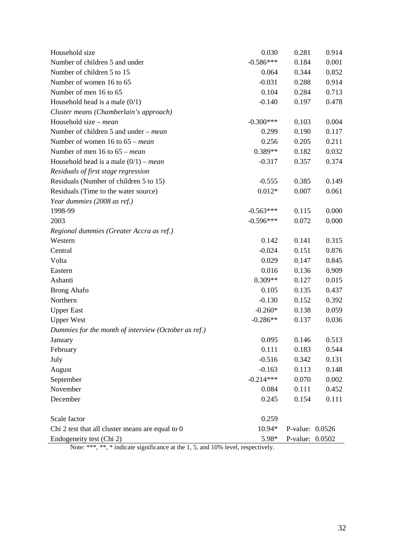| Household size                                                                                        | 0.030       | 0.281           | 0.914 |
|-------------------------------------------------------------------------------------------------------|-------------|-----------------|-------|
| Number of children 5 and under                                                                        | $-0.586***$ | 0.184           | 0.001 |
| Number of children 5 to 15                                                                            | 0.064       | 0.344           | 0.852 |
| Number of women 16 to 65                                                                              | $-0.031$    | 0.288           | 0.914 |
| Number of men 16 to 65                                                                                | 0.104       | 0.284           | 0.713 |
| Household head is a male $(0/1)$                                                                      | $-0.140$    | 0.197           | 0.478 |
| Cluster means (Chamberlain's approach)                                                                |             |                 |       |
| Household size – <i>mean</i>                                                                          | $-0.300***$ | 0.103           | 0.004 |
| Number of children 5 and under – <i>mean</i>                                                          | 0.299       | 0.190           | 0.117 |
| Number of women $16$ to $65$ – <i>mean</i>                                                            | 0.256       | 0.205           | 0.211 |
| Number of men $16$ to $65$ – mean                                                                     | 0.389**     | 0.182           | 0.032 |
| Household head is a male $(0/1)$ – <i>mean</i>                                                        | $-0.317$    | 0.357           | 0.374 |
| Residuals of first stage regression                                                                   |             |                 |       |
| Residuals (Number of children 5 to 15)                                                                | $-0.555$    | 0.385           | 0.149 |
| Residuals (Time to the water source)                                                                  | $0.012*$    | 0.007           | 0.061 |
| Year dummies (2008 as ref.)                                                                           |             |                 |       |
| 1998-99                                                                                               | $-0.563***$ | 0.115           | 0.000 |
| 2003                                                                                                  | $-0.596***$ | 0.072           | 0.000 |
| Regional dummies (Greater Accra as ref.)                                                              |             |                 |       |
| Western                                                                                               | 0.142       | 0.141           | 0.315 |
| Central                                                                                               | $-0.024$    | 0.151           | 0.876 |
| Volta                                                                                                 | 0.029       | 0.147           | 0.845 |
| Eastern                                                                                               | 0.016       | 0.136           | 0.909 |
| Ashanti                                                                                               | $0.309**$   | 0.127           | 0.015 |
| <b>Brong Ahafo</b>                                                                                    | 0.105       | 0.135           | 0.437 |
| Northern                                                                                              | $-0.130$    | 0.152           | 0.392 |
| <b>Upper East</b>                                                                                     | $-0.260*$   | 0.138           | 0.059 |
| <b>Upper West</b>                                                                                     | $-0.286**$  | 0.137           | 0.036 |
| Dummies for the month of interview (October as ref.)                                                  |             |                 |       |
| January                                                                                               | 0.095       | 0.146           | 0.513 |
| February                                                                                              | 0.111       | 0.183           | 0.544 |
| July                                                                                                  | $-0.516$    | 0.342           | 0.131 |
| August                                                                                                | $-0.163$    | 0.113           | 0.148 |
| September                                                                                             | $-0.214***$ | 0.070           | 0.002 |
| November                                                                                              | 0.084       | 0.111           | 0.452 |
| December                                                                                              | 0.245       | 0.154           | 0.111 |
|                                                                                                       |             |                 |       |
| Scale factor                                                                                          | 0.259       |                 |       |
| Chi 2 test that all cluster means are equal to 0                                                      | 10.94*      | P-value: 0.0526 |       |
| Endogeneity test (Chi 2)<br>Note: $*****$ indicate significance at the 1.5 and 10% layel respectively | 5.98*       | P-value: 0.0502 |       |

Note: \*\*\*, \*\*, \* indicate significance at the 1, 5, and 10% level, respectively.